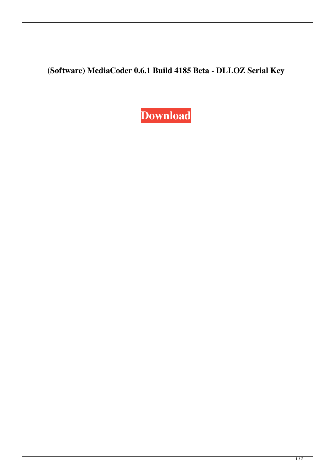## **(Software) MediaCoder 0.6.1 Build 4185 Beta - DLLOZ Serial Key**